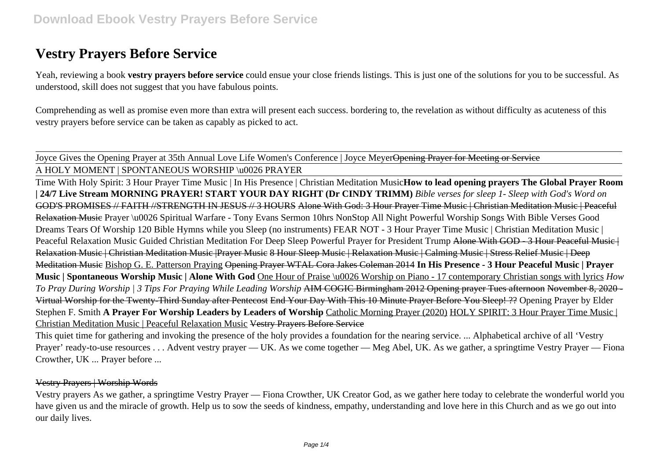# **Vestry Prayers Before Service**

Yeah, reviewing a book **vestry prayers before service** could ensue your close friends listings. This is just one of the solutions for you to be successful. As understood, skill does not suggest that you have fabulous points.

Comprehending as well as promise even more than extra will present each success. bordering to, the revelation as without difficulty as acuteness of this vestry prayers before service can be taken as capably as picked to act.

Joyce Gives the Opening Prayer at 35th Annual Love Life Women's Conference | Joyce Meyer<del>Opening Prayer for Meeting or Service</del>

A HOLY MOMENT | SPONTANEOUS WORSHIP \u0026 PRAYER

Time With Holy Spirit: 3 Hour Prayer Time Music | In His Presence | Christian Meditation Music**How to lead opening prayers The Global Prayer Room | 24/7 Live Stream MORNING PRAYER! START YOUR DAY RIGHT (Dr CINDY TRIMM)** *Bible verses for sleep 1- Sleep with God's Word on* GOD'S PROMISES // FAITH //STRENGTH IN JESUS // 3 HOURS Alone With God: 3 Hour Prayer Time Music | Christian Meditation Music | Peaceful Relaxation Musie Prayer \u0026 Spiritual Warfare - Tony Evans Sermon 10hrs NonStop All Night Powerful Worship Songs With Bible Verses Good Dreams Tears Of Worship 120 Bible Hymns while you Sleep (no instruments) FEAR NOT - 3 Hour Prayer Time Music | Christian Meditation Music | Peaceful Relaxation Music Guided Christian Meditation For Deep Sleep Powerful Prayer for President Trump Alone With GOD - 3 Hour Peaceful Music | Relaxation Music | Christian Meditation Music | Prayer Music 8 Hour Sleep Music | Relaxation Music | Calming Music | Stress Relief Music | Deep Meditation Music Bishop G. E. Patterson Praying Opening Prayer WTAL Cora Jakes Coleman 2014 **In His Presence - 3 Hour Peaceful Music | Prayer Music | Spontaneous Worship Music | Alone With God** One Hour of Praise \u0026 Worship on Piano - 17 contemporary Christian songs with lyrics *How To Pray During Worship | 3 Tips For Praying While Leading Worship* AIM COGIC Birmingham 2012 Opening prayer Tues afternoon November 8, 2020 - Virtual Worship for the Twenty-Third Sunday after Pentecost End Your Day With This 10 Minute Prayer Before You Sleep! ?? Opening Prayer by Elder Stephen F. Smith **A Prayer For Worship Leaders by Leaders of Worship** Catholic Morning Prayer (2020) HOLY SPIRIT: 3 Hour Prayer Time Music | Christian Meditation Music | Peaceful Relaxation Music Vestry Prayers Before Service

This quiet time for gathering and invoking the presence of the holy provides a foundation for the nearing service. ... Alphabetical archive of all 'Vestry Prayer' ready-to-use resources . . . Advent vestry prayer — UK. As we come together — Meg Abel, UK. As we gather, a springtime Vestry Prayer — Fiona Crowther, UK ... Prayer before ...

### Vestry Prayers | Worship Words

Vestry prayers As we gather, a springtime Vestry Prayer — Fiona Crowther, UK Creator God, as we gather here today to celebrate the wonderful world you have given us and the miracle of growth. Help us to sow the seeds of kindness, empathy, understanding and love here in this Church and as we go out into our daily lives.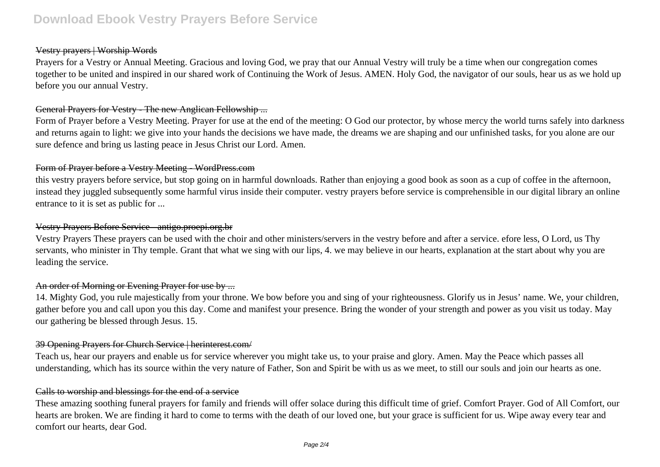# **Download Ebook Vestry Prayers Before Service**

#### Vestry prayers | Worship Words

Prayers for a Vestry or Annual Meeting. Gracious and loving God, we pray that our Annual Vestry will truly be a time when our congregation comes together to be united and inspired in our shared work of Continuing the Work of Jesus. AMEN. Holy God, the navigator of our souls, hear us as we hold up before you our annual Vestry.

#### General Prayers for Vestry - The new Anglican Fellowship ...

Form of Prayer before a Vestry Meeting. Prayer for use at the end of the meeting: O God our protector, by whose mercy the world turns safely into darkness and returns again to light: we give into your hands the decisions we have made, the dreams we are shaping and our unfinished tasks, for you alone are our sure defence and bring us lasting peace in Jesus Christ our Lord. Amen.

#### Form of Prayer before a Vestry Meeting - WordPress.com

this vestry prayers before service, but stop going on in harmful downloads. Rather than enjoying a good book as soon as a cup of coffee in the afternoon, instead they juggled subsequently some harmful virus inside their computer. vestry prayers before service is comprehensible in our digital library an online entrance to it is set as public for ...

#### Vestry Prayers Before Service - antigo.proepi.org.br

Vestry Prayers These prayers can be used with the choir and other ministers/servers in the vestry before and after a service. efore less, O Lord, us Thy servants, who minister in Thy temple. Grant that what we sing with our lips, 4. we may believe in our hearts, explanation at the start about why you are leading the service.

### An order of Morning or Evening Prayer for use by ...

14. Mighty God, you rule majestically from your throne. We bow before you and sing of your righteousness. Glorify us in Jesus' name. We, your children, gather before you and call upon you this day. Come and manifest your presence. Bring the wonder of your strength and power as you visit us today. May our gathering be blessed through Jesus. 15.

#### 39 Opening Prayers for Church Service | herinterest.com/

Teach us, hear our prayers and enable us for service wherever you might take us, to your praise and glory. Amen. May the Peace which passes all understanding, which has its source within the very nature of Father, Son and Spirit be with us as we meet, to still our souls and join our hearts as one.

#### Calls to worship and blessings for the end of a service

These amazing soothing funeral prayers for family and friends will offer solace during this difficult time of grief. Comfort Prayer. God of All Comfort, our hearts are broken. We are finding it hard to come to terms with the death of our loved one, but your grace is sufficient for us. Wipe away every tear and comfort our hearts, dear God.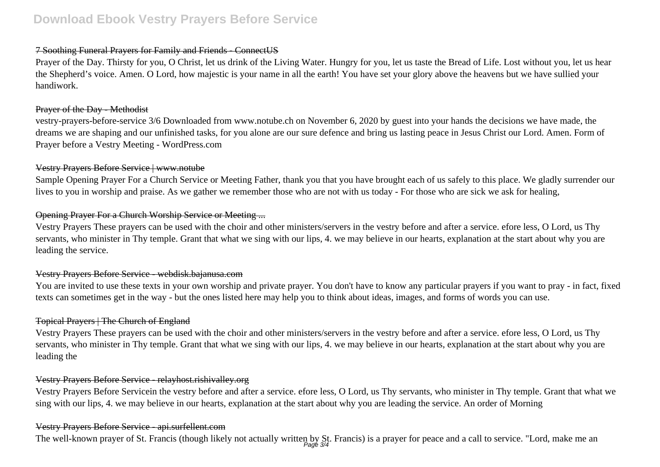# 7 Soothing Funeral Prayers for Family and Friends - ConnectUS

Prayer of the Day. Thirsty for you, O Christ, let us drink of the Living Water. Hungry for you, let us taste the Bread of Life. Lost without you, let us hear the Shepherd's voice. Amen. O Lord, how majestic is your name in all the earth! You have set your glory above the heavens but we have sullied your handiwork.

### Prayer of the Day - Methodist

vestry-prayers-before-service 3/6 Downloaded from www.notube.ch on November 6, 2020 by guest into your hands the decisions we have made, the dreams we are shaping and our unfinished tasks, for you alone are our sure defence and bring us lasting peace in Jesus Christ our Lord. Amen. Form of Prayer before a Vestry Meeting - WordPress.com

## Vestry Prayers Before Service | www.notube

Sample Opening Prayer For a Church Service or Meeting Father, thank you that you have brought each of us safely to this place. We gladly surrender our lives to you in worship and praise. As we gather we remember those who are not with us today - For those who are sick we ask for healing,

# Opening Prayer For a Church Worship Service or Meeting ...

Vestry Prayers These prayers can be used with the choir and other ministers/servers in the vestry before and after a service. efore less, O Lord, us Thy servants, who minister in Thy temple. Grant that what we sing with our lips, 4. we may believe in our hearts, explanation at the start about why you are leading the service.

# Vestry Prayers Before Service - webdisk.bajanusa.com

You are invited to use these texts in your own worship and private prayer. You don't have to know any particular prayers if you want to pray - in fact, fixed texts can sometimes get in the way - but the ones listed here may help you to think about ideas, images, and forms of words you can use.

# Topical Prayers | The Church of England

Vestry Prayers These prayers can be used with the choir and other ministers/servers in the vestry before and after a service. efore less, O Lord, us Thy servants, who minister in Thy temple. Grant that what we sing with our lips, 4. we may believe in our hearts, explanation at the start about why you are leading the

# Vestry Prayers Before Service - relayhost.rishivalley.org

Vestry Prayers Before Servicein the vestry before and after a service. efore less, O Lord, us Thy servants, who minister in Thy temple. Grant that what we sing with our lips, 4. we may believe in our hearts, explanation at the start about why you are leading the service. An order of Morning

### Vestry Prayers Before Service - api.surfellent.com

The well-known prayer of St. Francis (though likely not actually written by St. Francis) is a prayer for peace and a call to service. "Lord, make me an